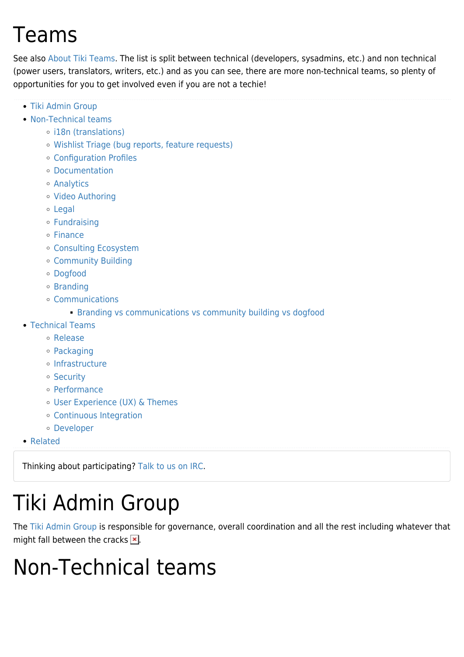# Teams

See also [About Tiki Teams.](https://translation.tiki.org/About-Tiki-Teams) The list is split between technical (developers, sysadmins, etc.) and non technical (power users, translators, writers, etc.) and as you can see, there are more non-technical teams, so plenty of opportunities for you to get involved even if you are not a techie!

- [Tiki Admin Group](#page--1-0)
- [Non-Technical teams](#page--1-0)
	- o [i18n \(translations\)](#page--1-0)
	- [Wishlist Triage \(bug reports, feature requests\)](#page--1-0)
	- [Configuration Profiles](#page--1-0)
	- [Documentation](#page--1-0)
	- [Analytics](#page--1-0)
	- [Video Authoring](#page--1-0)
	- [Legal](#page--1-0)
	- [Fundraising](#page--1-0)
	- o [Finance](#page--1-0)
	- [Consulting Ecosystem](#page--1-0)
	- [Community Building](#page--1-0)
	- [Dogfood](#page--1-0)
	- o [Branding](#page--1-0)
	- [Communications](#page--1-0)
		- **[Branding vs communications vs community building vs dogfood](#page--1-0)**
- [Technical Teams](#page--1-0)
	- [Release](#page--1-0)
	- [Packaging](#page--1-0)
	- o [Infrastructure](#page--1-0)
	- o [Security](#page--1-0)
	- [Performance](#page--1-0)
	- [User Experience \(UX\) & Themes](#page--1-0)
	- [Continuous Integration](#page--1-0)
	- [Developer](#page--1-0)
- [Related](#page--1-0)

Thinking about participating? [Talk to us on IRC.](https://translation.tiki.org/Connecting-To-IRC)

# Tiki Admin Group

The [Tiki Admin Group](https://translation.tiki.org/Tiki-Admin-Group) is responsible for governance, overall coordination and all the rest including whatever that might fall between the cracks  $\mathbf{x}$ .

# Non-Technical teams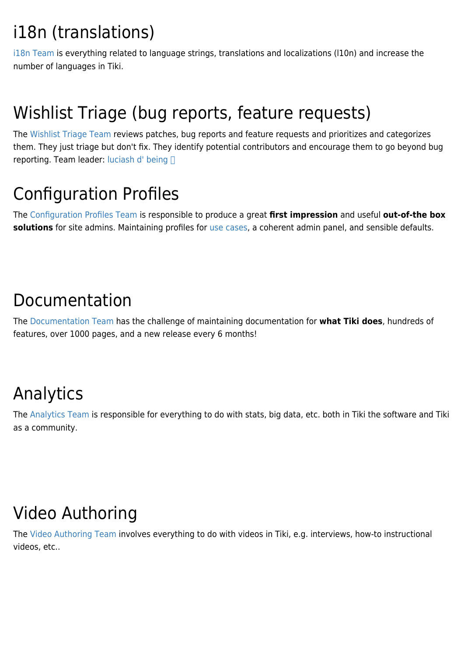# i18n (translations)

[i18n Team](https://translation.tiki.org/i18n-Team) is everything related to language strings, translations and localizations (l10n) and increase the number of languages in Tiki.

# Wishlist Triage (bug reports, feature requests)

The [Wishlist Triage Team](https://translation.tiki.org/Wishlist-Triage-Team) reviews patches, bug reports and feature requests and prioritizes and categorizes them. They just triage but don't fix. They identify potential contributors and encourage them to go beyond bug reporting. Team leader: [luciash d' being](https://translation.tiki.org/user199) 

# Configuration Profiles

The [Configuration Profiles Team](https://translation.tiki.org/Configuration-Profiles-Team) is responsible to produce a great **first impression** and useful **out-of-the box solutions** for site admins. Maintaining profiles for [use cases,](https://translation.tiki.org/Use-Cases) a coherent admin panel, and sensible defaults.

#### Documentation

The [Documentation Team](https://translation.tiki.org/Documentation-Team) has the challenge of maintaining documentation for **what Tiki does**, hundreds of features, over 1000 pages, and a new release every 6 months!

# Analytics

The [Analytics Team](https://translation.tiki.org/Analytics-Team) is responsible for everything to do with stats, big data, etc. both in Tiki the software and Tiki as a community.

# Video Authoring

The [Video Authoring Team](https://translation.tiki.org/Video-Authoring-Team) involves everything to do with videos in Tiki, e.g. interviews, how-to instructional videos, etc..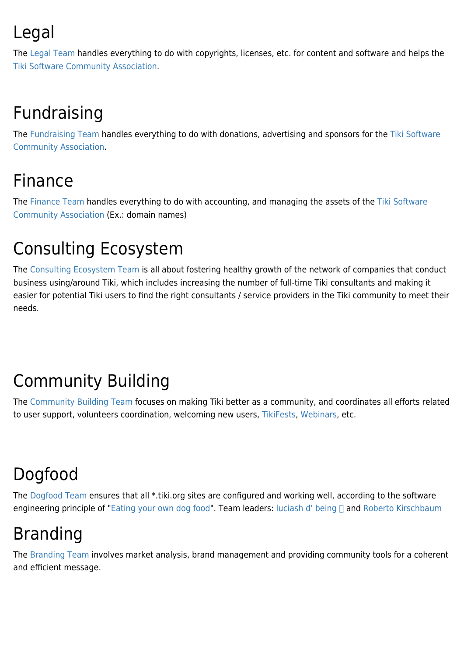# Legal

The [Legal Team](https://translation.tiki.org/Legal-Team) handles everything to do with copyrights, licenses, etc. for content and software and helps the [Tiki Software Community Association](https://translation.tiki.org/Tiki-Software-Community-Association).

# Fundraising

The [Fundraising Team](https://translation.tiki.org/Fundraising-Team) handles everything to do with donations, advertising and sponsors for the [Tiki Software](https://translation.tiki.org/Tiki-Software-Community-Association) [Community Association.](https://translation.tiki.org/Tiki-Software-Community-Association)

# Finance

The [Finance Team](https://translation.tiki.org/Finance-Team) handles everything to do with accounting, and managing the assets of the [Tiki Software](https://translation.tiki.org/Tiki-Software-Community-Association) [Community Association](https://translation.tiki.org/Tiki-Software-Community-Association) (Ex.: domain names)

# Consulting Ecosystem

The [Consulting Ecosystem Team](https://translation.tiki.org/Consulting-Ecosystem-Team) is all about fostering healthy growth of the network of companies that conduct business using/around Tiki, which includes increasing the number of full-time Tiki consultants and making it easier for potential Tiki users to find the right consultants / service providers in the Tiki community to meet their needs.

# Community Building

The [Community Building Team](https://translation.tiki.org/Community-Building-Team) focuses on making Tiki better as a community, and coordinates all efforts related to user support, volunteers coordination, welcoming new users, [TikiFests](https://translation.tiki.org/TikiFest), [Webinars](https://translation.tiki.org/Roundtable-Meetings), etc.

# Dogfood

The [Dogfood Team](https://translation.tiki.org/Dogfood-Team) ensures that all \*.tiki.org sites are configured and working well, according to the software engineering principle of "[Eating your own dog food"](https://translation.tiki.org/DogFood). Team leaders: [luciash d' being](https://translation.tiki.org/user199) and [Roberto Kirschbaum](https://translation.tiki.org/user34542)

# Branding

The [Branding Team](https://translation.tiki.org/Branding-Team) involves market analysis, brand management and providing community tools for a coherent and efficient message.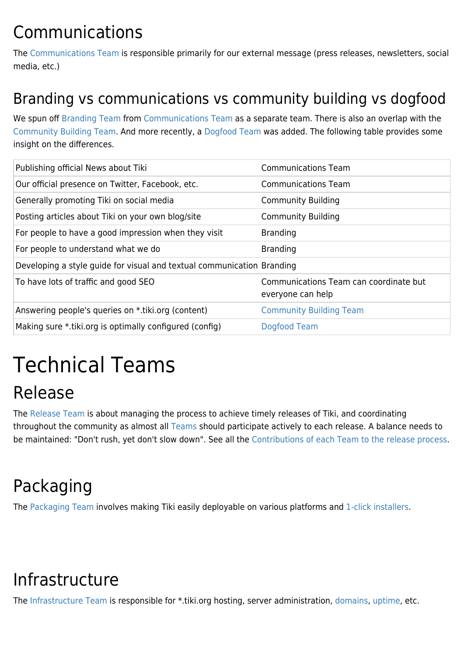## Communications

The [Communications Team](https://translation.tiki.org/Communications-Team) is responsible primarily for our external message (press releases, newsletters, social media, etc.)

#### Branding vs communications vs community building vs dogfood

We spun off [Branding Team](https://translation.tiki.org/Branding-Team) from [Communications Team](https://translation.tiki.org/Communications-Team) as a separate team. There is also an overlap with the [Community Building Team.](https://translation.tiki.org/Community-Building-Team) And more recently, a [Dogfood Team](https://translation.tiki.org/Dogfood-Team) was added. The following table provides some insight on the differences.

| Publishing official News about Tiki                                    | <b>Communications Team</b>                                  |
|------------------------------------------------------------------------|-------------------------------------------------------------|
| Our official presence on Twitter, Facebook, etc.                       | <b>Communications Team</b>                                  |
| Generally promoting Tiki on social media                               | <b>Community Building</b>                                   |
| Posting articles about Tiki on your own blog/site                      | <b>Community Building</b>                                   |
| For people to have a good impression when they visit                   | <b>Branding</b>                                             |
| For people to understand what we do                                    | <b>Branding</b>                                             |
| Developing a style guide for visual and textual communication Branding |                                                             |
| To have lots of traffic and good SEO                                   | Communications Team can coordinate but<br>everyone can help |
| Answering people's queries on *.tiki.org (content)                     | <b>Community Building Team</b>                              |
| Making sure *.tiki.org is optimally configured (config)                | Dogfood Team                                                |
|                                                                        |                                                             |

# Technical Teams

# Release

The [Release Team](https://translation.tiki.org/Release-Team) is about managing the process to achieve timely releases of Tiki, and coordinating throughout the community as almost all [Teams](https://translation.tiki.org/Teams) should participate actively to each release. A balance needs to be maintained: "Don't rush, yet don't slow down". See all the [Contributions of each Team to the release process.](https://translation.tiki.org/Contributions-of-each-Team-to-the-release-process)

# Packaging

The [Packaging Team](https://translation.tiki.org/Packaging-Team) involves making Tiki easily deployable on various platforms and [1-click installers](https://translation.tiki.org/1-click-installers).

# Infrastructure

The [Infrastructure Team](https://translation.tiki.org/Infrastructure-Team) is responsible for \*.tiki.org hosting, server administration, [domains](https://translation.tiki.org/Domains), [uptime,](https://translation.tiki.org/Uptime) etc.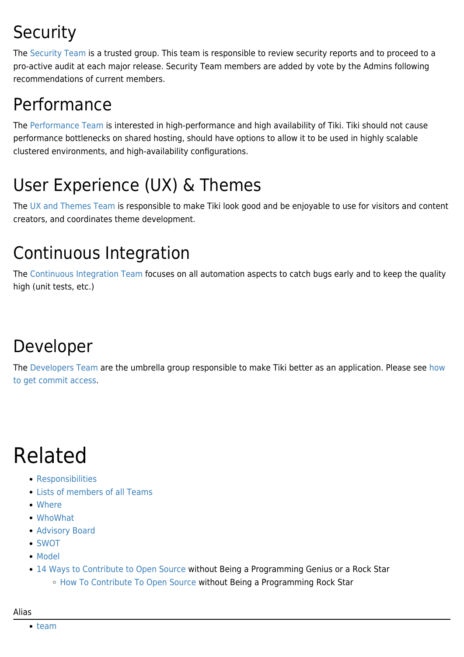# **Security**

The [Security Team](https://translation.tiki.org/Security-Team) is a trusted group. This team is responsible to review security reports and to proceed to a pro-active audit at each major release. Security Team members are added by vote by the Admins following recommendations of current members.

# Performance

The [Performance Team](https://translation.tiki.org/Performance-Team) is interested in high-performance and high availability of Tiki. Tiki should not cause performance bottlenecks on shared hosting, should have options to allow it to be used in highly scalable clustered environments, and high-availability configurations.

# User Experience (UX) & Themes

The [UX and Themes Team](https://translation.tiki.org/UX-and-Themes-Team) is responsible to make Tiki look good and be enjoyable to use for visitors and content creators, and coordinates theme development.

# Continuous Integration

The [Continuous Integration Team](https://translation.tiki.org/Continuous-Integration-Team) focuses on all automation aspects to catch bugs early and to keep the quality high (unit tests, etc.)

# Developer

The [Developers Team](https://translation.tiki.org/Developers-Team) are the umbrella group responsible to make Tiki better as an application. Please see [how](http://dev.tiki.org/how%20to%20get%20commit%20access) [to get commit access](http://dev.tiki.org/how%20to%20get%20commit%20access).

# Related

- [Responsibilities](https://translation.tiki.org/Responsibilities)
- [Lists of members of all Teams](https://translation.tiki.org/Lists-of-members-of-all-Teams)
- [Where](https://translation.tiki.org/Where)
- [WhoWhat](https://translation.tiki.org/WhoWhat)
- [Advisory Board](https://translation.tiki.org/Advisory-Board)
- [SWOT](https://translation.tiki.org/SWOT)
- [Model](https://translation.tiki.org/Model)
- [14 Ways to Contribute to Open Source](http://blog.smartbear.com/software-quality/bid/167051) without Being a Programming Genius or a Rock Star ○ [How To Contribute To Open Source](http://developers.slashdot.org/story/12/03/12/1728234/how-to-contribute-to-open-source-without-being-a-programming-rock-star) without Being a Programming Rock Star

#### Alias

• [team](https://translation.tiki.org/team)